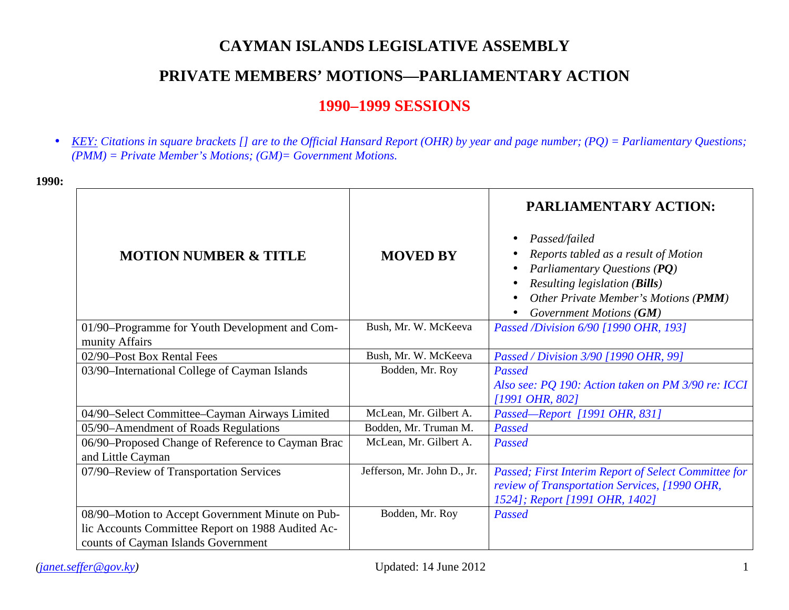# **CAYMAN ISLANDS LEGISLATIVE ASSEMBLY**

# **PRIVATE MEMBERS' MOTIONS—PARLIAMENTARY ACTION**

## **1990–1999 SESSIONS**

*KEY: Citations in square brackets [] are to the Official Hansard Report (OHR) by year and page number; (PQ) = Parliamentary Questions;*   $\mathbf{r}^{\prime}$ *(PMM) = Private Member's Motions; (GM)= Government Motions.* 

| <b>MOTION NUMBER &amp; TITLE</b>                                                                                                             | <b>MOVED BY</b>             | PARLIAMENTARY ACTION:<br>Passed/failed<br>$\bullet$<br>Reports tabled as a result of Motion<br>Parliamentary Questions (PQ)<br>Resulting legislation (Bills)<br>Other Private Member's Motions (PMM)<br>$\bullet$ |
|----------------------------------------------------------------------------------------------------------------------------------------------|-----------------------------|-------------------------------------------------------------------------------------------------------------------------------------------------------------------------------------------------------------------|
|                                                                                                                                              |                             | Government Motions (GM)                                                                                                                                                                                           |
| 01/90-Programme for Youth Development and Com-<br>munity Affairs                                                                             | Bush, Mr. W. McKeeva        | Passed /Division 6/90 [1990 OHR, 193]                                                                                                                                                                             |
| 02/90-Post Box Rental Fees                                                                                                                   | Bush, Mr. W. McKeeva        | Passed / Division 3/90 [1990 OHR, 99]                                                                                                                                                                             |
| 03/90-International College of Cayman Islands                                                                                                | Bodden, Mr. Roy             | Passed                                                                                                                                                                                                            |
|                                                                                                                                              |                             | Also see: PQ 190: Action taken on PM 3/90 re: ICCI<br>$[1991 \text{ } OHR, 802]$                                                                                                                                  |
| 04/90-Select Committee-Cayman Airways Limited                                                                                                | McLean, Mr. Gilbert A.      | Passed-Report [1991 OHR, 831]                                                                                                                                                                                     |
| 05/90-Amendment of Roads Regulations                                                                                                         | Bodden, Mr. Truman M.       | Passed                                                                                                                                                                                                            |
| 06/90–Proposed Change of Reference to Cayman Brac<br>and Little Cayman                                                                       | McLean, Mr. Gilbert A.      | Passed                                                                                                                                                                                                            |
| 07/90-Review of Transportation Services                                                                                                      | Jefferson, Mr. John D., Jr. | Passed; First Interim Report of Select Committee for<br>review of Transportation Services, [1990 OHR,<br>1524]; Report [1991 OHR, 1402]                                                                           |
| 08/90-Motion to Accept Government Minute on Pub-<br>lic Accounts Committee Report on 1988 Audited Ac-<br>counts of Cayman Islands Government | Bodden, Mr. Roy             | Passed                                                                                                                                                                                                            |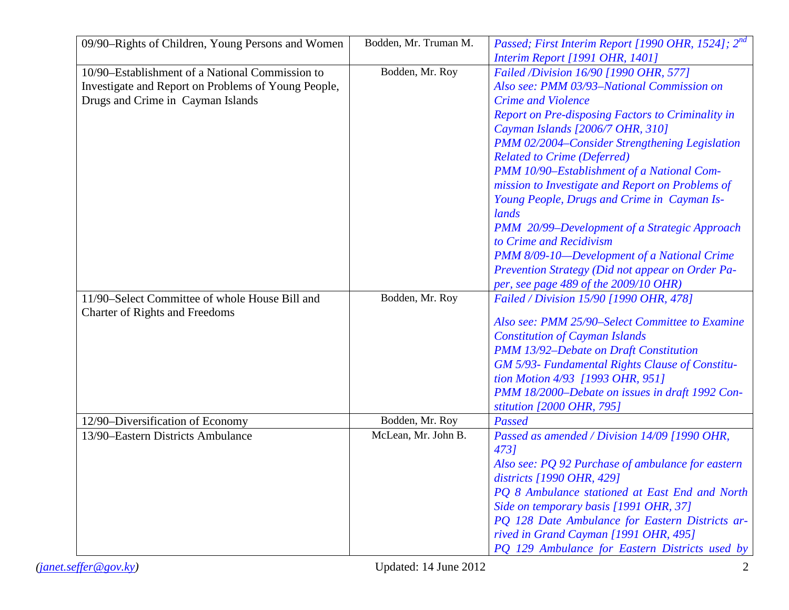| 09/90–Rights of Children, Young Persons and Women   | Bodden, Mr. Truman M. | Passed; First Interim Report [1990 OHR, 1524]; 2nd |
|-----------------------------------------------------|-----------------------|----------------------------------------------------|
|                                                     |                       | <b>Interim Report [1991 OHR, 1401]</b>             |
| 10/90–Establishment of a National Commission to     | Bodden, Mr. Roy       | Failed /Division 16/90 [1990 OHR, 577]             |
| Investigate and Report on Problems of Young People, |                       | Also see: PMM 03/93-National Commission on         |
| Drugs and Crime in Cayman Islands                   |                       | <b>Crime and Violence</b>                          |
|                                                     |                       | Report on Pre-disposing Factors to Criminality in  |
|                                                     |                       | Cayman Islands [2006/7 OHR, 310]                   |
|                                                     |                       | PMM 02/2004-Consider Strengthening Legislation     |
|                                                     |                       | <b>Related to Crime (Deferred)</b>                 |
|                                                     |                       | PMM 10/90-Establishment of a National Com-         |
|                                                     |                       | mission to Investigate and Report on Problems of   |
|                                                     |                       | Young People, Drugs and Crime in Cayman Is-        |
|                                                     |                       | lands                                              |
|                                                     |                       | PMM 20/99–Development of a Strategic Approach      |
|                                                     |                       | to Crime and Recidivism                            |
|                                                     |                       | PMM 8/09-10-Development of a National Crime        |
|                                                     |                       | Prevention Strategy (Did not appear on Order Pa-   |
|                                                     |                       | per, see page 489 of the 2009/10 OHR)              |
| 11/90–Select Committee of whole House Bill and      | Bodden, Mr. Roy       | Failed / Division 15/90 [1990 OHR, 478]            |
| <b>Charter of Rights and Freedoms</b>               |                       |                                                    |
|                                                     |                       | Also see: PMM 25/90-Select Committee to Examine    |
|                                                     |                       | <b>Constitution of Cayman Islands</b>              |
|                                                     |                       | PMM 13/92-Debate on Draft Constitution             |
|                                                     |                       | GM 5/93- Fundamental Rights Clause of Constitu-    |
|                                                     |                       | tion Motion 4/93 [1993 OHR, 951]                   |
|                                                     |                       | PMM 18/2000–Debate on issues in draft 1992 Con-    |
|                                                     |                       | stitution [2000 OHR, 795]                          |
| 12/90-Diversification of Economy                    | Bodden, Mr. Roy       | Passed                                             |
| 13/90–Eastern Districts Ambulance                   | McLean, Mr. John B.   | Passed as amended / Division 14/09 [1990 OHR,      |
|                                                     |                       | 4731                                               |
|                                                     |                       | Also see: PQ 92 Purchase of ambulance for eastern  |
|                                                     |                       | districts $[1990 \text{ }OHR, 429]$                |
|                                                     |                       | PQ 8 Ambulance stationed at East End and North     |
|                                                     |                       | Side on temporary basis [1991 OHR, 37]             |
|                                                     |                       | PQ 128 Date Ambulance for Eastern Districts ar-    |
|                                                     |                       |                                                    |
|                                                     |                       | rived in Grand Cayman [1991 OHR, 495]              |
|                                                     |                       | PQ 129 Ambulance for Eastern Districts used by     |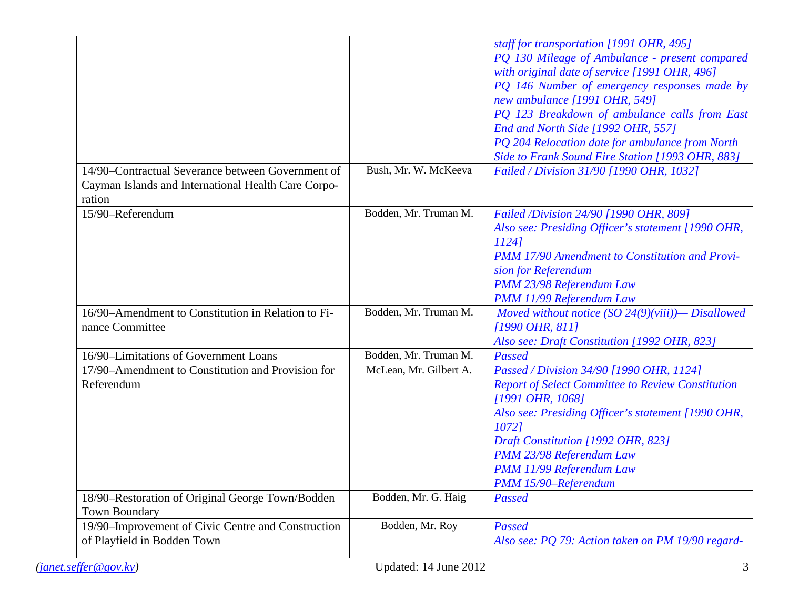| 14/90–Contractual Severance between Government of<br>Cayman Islands and International Health Care Corpo-<br>ration | Bush, Mr. W. McKeeva   | staff for transportation [1991 OHR, 495]<br>PQ 130 Mileage of Ambulance - present compared<br>with original date of service [1991 OHR, 496]<br>PQ 146 Number of emergency responses made by<br>new ambulance [1991 OHR, 549]<br>PQ 123 Breakdown of ambulance calls from East<br>End and North Side [1992 OHR, 557]<br>PQ 204 Relocation date for ambulance from North<br>Side to Frank Sound Fire Station [1993 OHR, 883]<br>Failed / Division 31/90 [1990 OHR, 1032] |
|--------------------------------------------------------------------------------------------------------------------|------------------------|------------------------------------------------------------------------------------------------------------------------------------------------------------------------------------------------------------------------------------------------------------------------------------------------------------------------------------------------------------------------------------------------------------------------------------------------------------------------|
| 15/90-Referendum                                                                                                   | Bodden, Mr. Truman M.  | Failed /Division 24/90 [1990 OHR, 809]<br>Also see: Presiding Officer's statement [1990 OHR,<br>11241<br><b>PMM 17/90 Amendment to Constitution and Provi-</b><br>sion for Referendum<br>PMM 23/98 Referendum Law<br>PMM 11/99 Referendum Law                                                                                                                                                                                                                          |
| 16/90–Amendment to Constitution in Relation to Fi-<br>nance Committee                                              | Bodden, Mr. Truman M.  | Moved without notice (SO $24(9)(viii)$ ) - Disallowed<br>$[1990 \text{ } OHR, 811]$<br>Also see: Draft Constitution [1992 OHR, 823]                                                                                                                                                                                                                                                                                                                                    |
| 16/90-Limitations of Government Loans                                                                              | Bodden, Mr. Truman M.  | Passed                                                                                                                                                                                                                                                                                                                                                                                                                                                                 |
| 17/90-Amendment to Constitution and Provision for<br>Referendum                                                    | McLean, Mr. Gilbert A. | Passed / Division 34/90 [1990 OHR, 1124]<br><b>Report of Select Committee to Review Constitution</b><br>[1991 OHR, 1068]<br>Also see: Presiding Officer's statement [1990 OHR,<br>10721<br>Draft Constitution [1992 OHR, 823]<br>PMM 23/98 Referendum Law<br>PMM 11/99 Referendum Law<br>PMM 15/90-Referendum                                                                                                                                                          |
| 18/90-Restoration of Original George Town/Bodden<br><b>Town Boundary</b>                                           | Bodden, Mr. G. Haig    | Passed                                                                                                                                                                                                                                                                                                                                                                                                                                                                 |
| 19/90–Improvement of Civic Centre and Construction                                                                 | Bodden, Mr. Roy        | Passed                                                                                                                                                                                                                                                                                                                                                                                                                                                                 |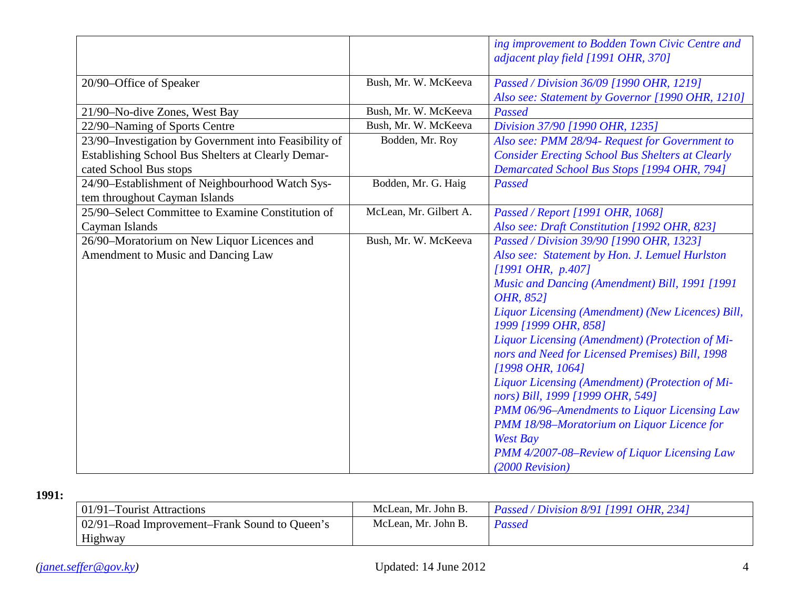|                                                       |                        | ing improvement to Bodden Town Civic Centre and<br>adjacent play field [1991 OHR, 370]                                 |
|-------------------------------------------------------|------------------------|------------------------------------------------------------------------------------------------------------------------|
| 20/90-Office of Speaker                               | Bush, Mr. W. McKeeva   | Passed / Division 36/09 [1990 OHR, 1219]                                                                               |
|                                                       |                        | Also see: Statement by Governor [1990 OHR, 1210]                                                                       |
| 21/90-No-dive Zones, West Bay                         | Bush, Mr. W. McKeeva   | Passed                                                                                                                 |
| 22/90-Naming of Sports Centre                         | Bush, Mr. W. McKeeva   | Division 37/90 [1990 OHR, 1235]                                                                                        |
| 23/90-Investigation by Government into Feasibility of | Bodden, Mr. Roy        | Also see: PMM 28/94- Request for Government to                                                                         |
| Establishing School Bus Shelters at Clearly Demar-    |                        | <b>Consider Erecting School Bus Shelters at Clearly</b>                                                                |
| cated School Bus stops                                |                        | Demarcated School Bus Stops [1994 OHR, 794]                                                                            |
| 24/90-Establishment of Neighbourhood Watch Sys-       | Bodden, Mr. G. Haig    | Passed                                                                                                                 |
| tem throughout Cayman Islands                         |                        |                                                                                                                        |
| 25/90–Select Committee to Examine Constitution of     | McLean, Mr. Gilbert A. | Passed / Report [1991 OHR, 1068]                                                                                       |
| Cayman Islands                                        |                        | Also see: Draft Constitution [1992 OHR, 823]                                                                           |
| 26/90-Moratorium on New Liquor Licences and           | Bush, Mr. W. McKeeva   | Passed / Division 39/90 [1990 OHR, 1323]                                                                               |
| Amendment to Music and Dancing Law                    |                        | Also see: Statement by Hon. J. Lemuel Hurlston                                                                         |
|                                                       |                        | $[1991 \text{ } OHR, p.407]$                                                                                           |
|                                                       |                        | Music and Dancing (Amendment) Bill, 1991 [1991<br>OHR, 8521                                                            |
|                                                       |                        | Liquor Licensing (Amendment) (New Licences) Bill,<br>1999 [1999 OHR, 858]                                              |
|                                                       |                        | Liquor Licensing (Amendment) (Protection of Mi-<br>nors and Need for Licensed Premises) Bill, 1998<br>[1998 OHR, 1064] |
|                                                       |                        | Liquor Licensing (Amendment) (Protection of Mi-<br>nors) Bill, 1999 [1999 OHR, 549]                                    |
|                                                       |                        | PMM 06/96-Amendments to Liquor Licensing Law                                                                           |
|                                                       |                        | PMM 18/98-Moratorium on Liquor Licence for                                                                             |
|                                                       |                        | <b>West Bay</b>                                                                                                        |
|                                                       |                        | PMM 4/2007-08-Review of Liquor Licensing Law                                                                           |
|                                                       |                        | $(2000$ Revision)                                                                                                      |

| 01/91–Tourist Attractions                     | McLean, Mr. John B. | <i>Passed / Division 8/91 [1991 OHR, 234]</i> |
|-----------------------------------------------|---------------------|-----------------------------------------------|
| 02/91–Road Improvement–Frank Sound to Queen's | McLean, Mr. John B. | Passed                                        |
| Highway                                       |                     |                                               |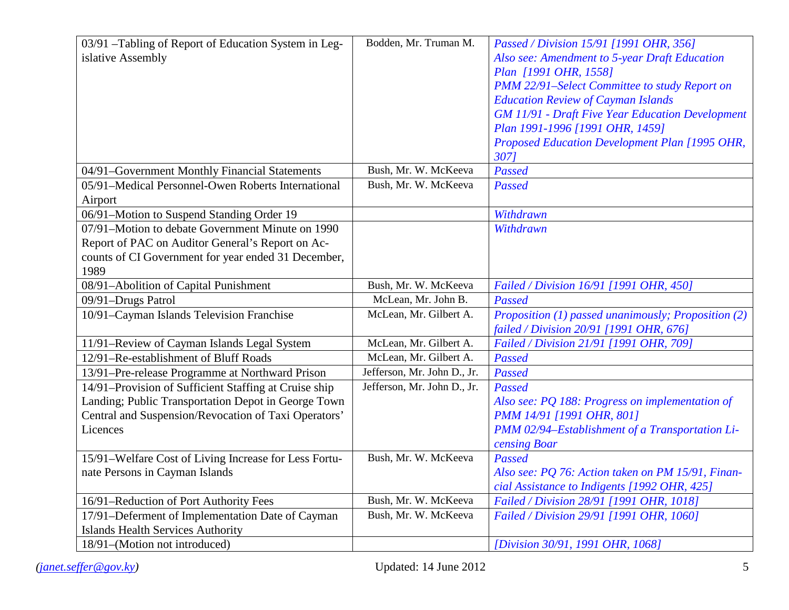| 03/91 - Tabling of Report of Education System in Leg- | Bodden, Mr. Truman M.       | Passed / Division 15/91 [1991 OHR, 356]                 |
|-------------------------------------------------------|-----------------------------|---------------------------------------------------------|
| islative Assembly                                     |                             | Also see: Amendment to 5-year Draft Education           |
|                                                       |                             | Plan [1991 OHR, 1558]                                   |
|                                                       |                             | PMM 22/91-Select Committee to study Report on           |
|                                                       |                             | <b>Education Review of Cayman Islands</b>               |
|                                                       |                             | <b>GM 11/91 - Draft Five Year Education Development</b> |
|                                                       |                             | Plan 1991-1996 [1991 OHR, 1459]                         |
|                                                       |                             | Proposed Education Development Plan [1995 OHR,          |
|                                                       |                             | 3071                                                    |
| 04/91-Government Monthly Financial Statements         | Bush, Mr. W. McKeeva        | Passed                                                  |
| 05/91-Medical Personnel-Owen Roberts International    | Bush, Mr. W. McKeeva        | Passed                                                  |
| Airport                                               |                             |                                                         |
| 06/91-Motion to Suspend Standing Order 19             |                             | Withdrawn                                               |
| 07/91-Motion to debate Government Minute on 1990      |                             | Withdrawn                                               |
| Report of PAC on Auditor General's Report on Ac-      |                             |                                                         |
| counts of CI Government for year ended 31 December,   |                             |                                                         |
| 1989                                                  |                             |                                                         |
| 08/91-Abolition of Capital Punishment                 | Bush, Mr. W. McKeeva        | Failed / Division 16/91 [1991 OHR, 450]                 |
| 09/91-Drugs Patrol                                    | McLean, Mr. John B.         | Passed                                                  |
| 10/91-Cayman Islands Television Franchise             | McLean, Mr. Gilbert A.      | Proposition (1) passed unanimously; Proposition (2)     |
|                                                       |                             | failed / Division 20/91 [1991 OHR, 676]                 |
| 11/91-Review of Cayman Islands Legal System           | McLean, Mr. Gilbert A.      | Failed / Division 21/91 [1991 OHR, 709]                 |
| 12/91-Re-establishment of Bluff Roads                 | McLean, Mr. Gilbert A.      | Passed                                                  |
| 13/91-Pre-release Programme at Northward Prison       | Jefferson, Mr. John D., Jr. | Passed                                                  |
| 14/91-Provision of Sufficient Staffing at Cruise ship | Jefferson, Mr. John D., Jr. | Passed                                                  |
| Landing; Public Transportation Depot in George Town   |                             | Also see: PQ 188: Progress on implementation of         |
| Central and Suspension/Revocation of Taxi Operators'  |                             | PMM 14/91 [1991 OHR, 801]                               |
| Licences                                              |                             | PMM 02/94-Establishment of a Transportation Li-         |
|                                                       |                             | censing Boar                                            |
| 15/91-Welfare Cost of Living Increase for Less Fortu- | Bush, Mr. W. McKeeva        | Passed                                                  |
| nate Persons in Cayman Islands                        |                             | Also see: PQ 76: Action taken on PM 15/91, Finan-       |
|                                                       |                             | cial Assistance to Indigents [1992 OHR, 425]            |
| 16/91-Reduction of Port Authority Fees                | Bush, Mr. W. McKeeva        | Failed / Division 28/91 [1991 OHR, 1018]                |
| 17/91-Deferment of Implementation Date of Cayman      | Bush, Mr. W. McKeeva        | Failed / Division 29/91 [1991 OHR, 1060]                |
| <b>Islands Health Services Authority</b>              |                             |                                                         |
| 18/91-(Motion not introduced)                         |                             | [Division 30/91, 1991 OHR, 1068]                        |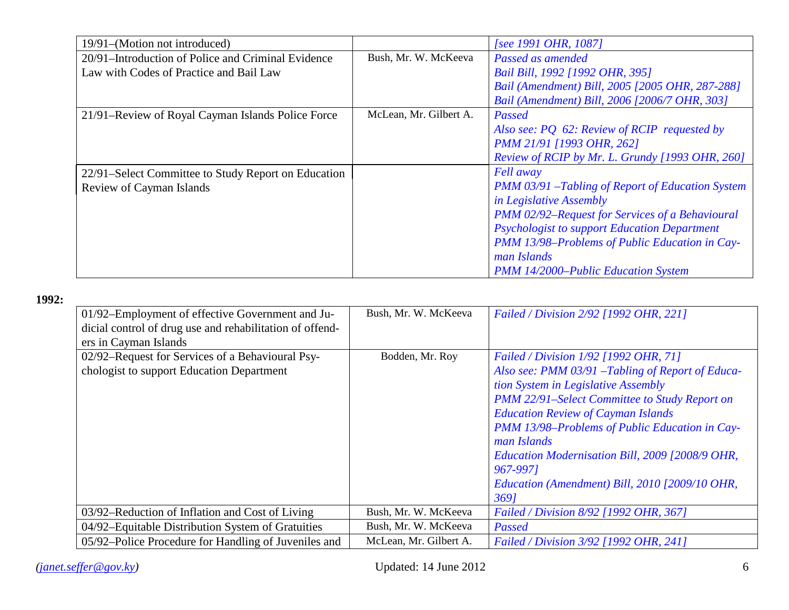| 19/91–(Motion not introduced)                       |                        | [see 1991 OHR, 1087]                                     |
|-----------------------------------------------------|------------------------|----------------------------------------------------------|
| 20/91–Introduction of Police and Criminal Evidence  | Bush, Mr. W. McKeeva   | Passed as amended                                        |
| Law with Codes of Practice and Bail Law             |                        | Bail Bill, 1992 [1992 OHR, 395]                          |
|                                                     |                        | Bail (Amendment) Bill, 2005 [2005 OHR, 287-288]          |
|                                                     |                        | Bail (Amendment) Bill, 2006 [2006/7 OHR, 303]            |
| 21/91–Review of Royal Cayman Islands Police Force   | McLean, Mr. Gilbert A. | <b>Passed</b>                                            |
|                                                     |                        | Also see: PQ 62: Review of RCIP requested by             |
|                                                     |                        | PMM 21/91 [1993 OHR, 262]                                |
|                                                     |                        | Review of RCIP by Mr. L. Grundy [1993 OHR, 260]          |
| 22/91–Select Committee to Study Report on Education |                        | <b>Fell</b> away                                         |
| Review of Cayman Islands                            |                        | <b>PMM 03/91 - Tabling of Report of Education System</b> |
|                                                     |                        | in Legislative Assembly                                  |
|                                                     |                        | PMM 02/92-Request for Services of a Behavioural          |
|                                                     |                        | <b>Psychologist to support Education Department</b>      |
|                                                     |                        | PMM 13/98-Problems of Public Education in Cay-           |
|                                                     |                        | man Islands                                              |
|                                                     |                        | <b>PMM 14/2000–Public Education System</b>               |

| 01/92–Employment of effective Government and Ju-<br>dicial control of drug use and rehabilitation of offend-<br>ers in Cayman Islands | Bush, Mr. W. McKeeva   | Failed / Division 2/92 [1992 OHR, 221]                                                                                                                                                                                                                                                                                                                                                                                    |
|---------------------------------------------------------------------------------------------------------------------------------------|------------------------|---------------------------------------------------------------------------------------------------------------------------------------------------------------------------------------------------------------------------------------------------------------------------------------------------------------------------------------------------------------------------------------------------------------------------|
| 02/92–Request for Services of a Behavioural Psy-<br>chologist to support Education Department                                         | Bodden, Mr. Roy        | Failed / Division 1/92 [1992 OHR, 71]<br>Also see: PMM 03/91 - Tabling of Report of Educa-<br>tion System in Legislative Assembly<br>PMM 22/91-Select Committee to Study Report on<br><b>Education Review of Cayman Islands</b><br>PMM 13/98-Problems of Public Education in Cay-<br>man Islands<br>Education Modernisation Bill, 2009 [2008/9 OHR,<br>967-9971<br>Education (Amendment) Bill, 2010 [2009/10 OHR,<br>3691 |
| 03/92–Reduction of Inflation and Cost of Living                                                                                       | Bush, Mr. W. McKeeva   | Failed / Division 8/92 [1992 OHR, 367]                                                                                                                                                                                                                                                                                                                                                                                    |
| 04/92–Equitable Distribution System of Gratuities                                                                                     | Bush, Mr. W. McKeeva   | Passed                                                                                                                                                                                                                                                                                                                                                                                                                    |
| 05/92–Police Procedure for Handling of Juveniles and                                                                                  | McLean, Mr. Gilbert A. | Failed / Division 3/92 [1992 OHR, 241]                                                                                                                                                                                                                                                                                                                                                                                    |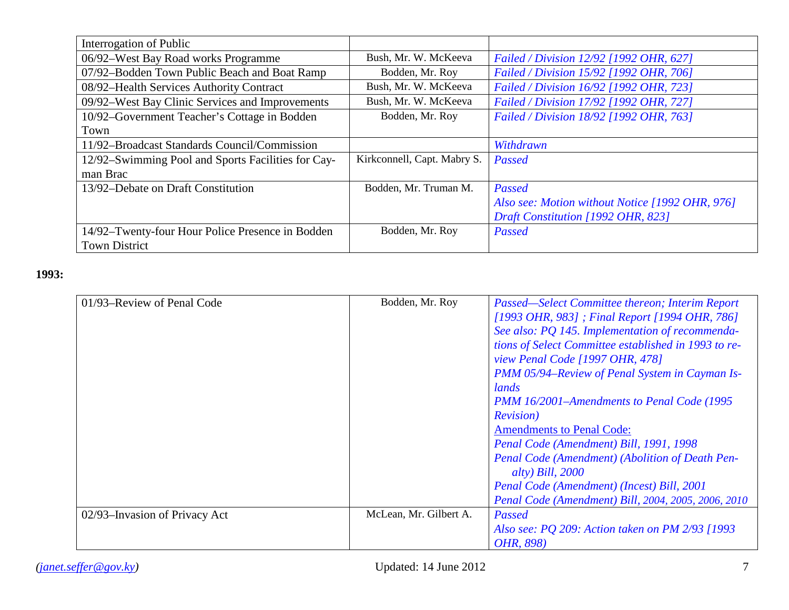| Interrogation of Public                            |                             |                                                 |
|----------------------------------------------------|-----------------------------|-------------------------------------------------|
| 06/92-West Bay Road works Programme                | Bush, Mr. W. McKeeva        | Failed / Division 12/92 [1992 OHR, 627]         |
| 07/92-Bodden Town Public Beach and Boat Ramp       | Bodden, Mr. Roy             | Failed / Division 15/92 [1992 OHR, 706]         |
| 08/92-Health Services Authority Contract           | Bush, Mr. W. McKeeva        | Failed / Division 16/92 [1992 OHR, 723]         |
| 09/92–West Bay Clinic Services and Improvements    | Bush, Mr. W. McKeeva        | Failed / Division 17/92 [1992 OHR, 727]         |
| 10/92-Government Teacher's Cottage in Bodden       | Bodden, Mr. Roy             | Failed / Division 18/92 [1992 OHR, 763]         |
| Town                                               |                             |                                                 |
| 11/92–Broadcast Standards Council/Commission       |                             | Withdrawn                                       |
| 12/92–Swimming Pool and Sports Facilities for Cay- | Kirkconnell, Capt. Mabry S. | Passed                                          |
| man Brac                                           |                             |                                                 |
| 13/92–Debate on Draft Constitution                 | Bodden, Mr. Truman M.       | Passed                                          |
|                                                    |                             | Also see: Motion without Notice [1992 OHR, 976] |
|                                                    |                             | Draft Constitution [1992 OHR, 823]              |
| 14/92–Twenty-four Hour Police Presence in Bodden   | Bodden, Mr. Roy             | Passed                                          |
| <b>Town District</b>                               |                             |                                                 |

| 01/93–Review of Penal Code    | Bodden, Mr. Roy        | Passed—Select Committee thereon; Interim Report      |
|-------------------------------|------------------------|------------------------------------------------------|
|                               |                        | [1993 OHR, 983]; Final Report [1994 OHR, 786]        |
|                               |                        | See also: PQ 145. Implementation of recommenda-      |
|                               |                        | tions of Select Committee established in 1993 to re- |
|                               |                        | <i>view Penal Code [1997 OHR, 478]</i>               |
|                               |                        | PMM 05/94–Review of Penal System in Cayman Is-       |
|                               |                        | lands                                                |
|                               |                        | PMM 16/2001–Amendments to Penal Code (1995           |
|                               |                        | <b>Revision</b> )                                    |
|                               |                        | <b>Amendments to Penal Code:</b>                     |
|                               |                        | Penal Code (Amendment) Bill, 1991, 1998              |
|                               |                        | Penal Code (Amendment) (Abolition of Death Pen-      |
|                               |                        | alty) Bill, $2000$                                   |
|                               |                        | Penal Code (Amendment) (Incest) Bill, 2001           |
|                               |                        | Penal Code (Amendment) Bill, 2004, 2005, 2006, 2010  |
| 02/93–Invasion of Privacy Act | McLean, Mr. Gilbert A. | Passed                                               |
|                               |                        | Also see: PQ 209: Action taken on PM 2/93 [1993]     |
|                               |                        | OHR, 898)                                            |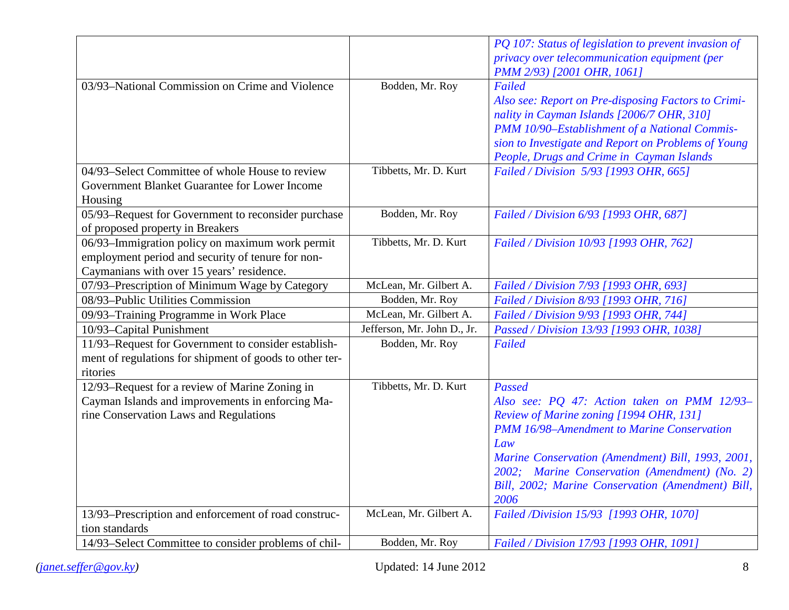|                                                         |                             | PQ 107: Status of legislation to prevent invasion of |
|---------------------------------------------------------|-----------------------------|------------------------------------------------------|
|                                                         |                             | privacy over telecommunication equipment (per        |
|                                                         |                             | PMM 2/93) [2001 OHR, 1061]                           |
| 03/93-National Commission on Crime and Violence         | Bodden, Mr. Roy             | Failed                                               |
|                                                         |                             | Also see: Report on Pre-disposing Factors to Crimi-  |
|                                                         |                             | nality in Cayman Islands [2006/7 OHR, 310]           |
|                                                         |                             | PMM 10/90-Establishment of a National Commis-        |
|                                                         |                             | sion to Investigate and Report on Problems of Young  |
|                                                         |                             | People, Drugs and Crime in Cayman Islands            |
| 04/93-Select Committee of whole House to review         | Tibbetts, Mr. D. Kurt       | Failed / Division 5/93 [1993 OHR, 665]               |
| Government Blanket Guarantee for Lower Income           |                             |                                                      |
| Housing                                                 |                             |                                                      |
| 05/93-Request for Government to reconsider purchase     | Bodden, Mr. Roy             | Failed / Division 6/93 [1993 OHR, 687]               |
| of proposed property in Breakers                        |                             |                                                      |
| 06/93–Immigration policy on maximum work permit         | Tibbetts, Mr. D. Kurt       | Failed / Division 10/93 [1993 OHR, 762]              |
| employment period and security of tenure for non-       |                             |                                                      |
| Caymanians with over 15 years' residence.               |                             |                                                      |
| 07/93-Prescription of Minimum Wage by Category          | McLean, Mr. Gilbert A.      | Failed / Division 7/93 [1993 OHR, 693]               |
| 08/93-Public Utilities Commission                       | Bodden, Mr. Roy             | Failed / Division 8/93 [1993 OHR, 716]               |
| 09/93-Training Programme in Work Place                  | McLean, Mr. Gilbert A.      | Failed / Division 9/93 [1993 OHR, 744]               |
| 10/93-Capital Punishment                                | Jefferson, Mr. John D., Jr. | Passed / Division 13/93 [1993 OHR, 1038]             |
| 11/93-Request for Government to consider establish-     | Bodden, Mr. Roy             | Failed                                               |
| ment of regulations for shipment of goods to other ter- |                             |                                                      |
| ritories                                                |                             |                                                      |
| 12/93-Request for a review of Marine Zoning in          | Tibbetts, Mr. D. Kurt       | Passed                                               |
| Cayman Islands and improvements in enforcing Ma-        |                             | Also see: PQ 47: Action taken on PMM 12/93-          |
| rine Conservation Laws and Regulations                  |                             | Review of Marine zoning [1994 OHR, 131]              |
|                                                         |                             | PMM 16/98-Amendment to Marine Conservation           |
|                                                         |                             | Law                                                  |
|                                                         |                             | Marine Conservation (Amendment) Bill, 1993, 2001,    |
|                                                         |                             | 2002; Marine Conservation (Amendment) (No. 2)        |
|                                                         |                             | Bill, 2002; Marine Conservation (Amendment) Bill,    |
|                                                         |                             | 2006                                                 |
| 13/93-Prescription and enforcement of road construc-    | McLean, Mr. Gilbert A.      | Failed /Division 15/93 [1993 OHR, 1070]              |
| tion standards                                          |                             |                                                      |
| 14/93-Select Committee to consider problems of chil-    | Bodden, Mr. Roy             | Failed / Division 17/93 [1993 OHR, 1091]             |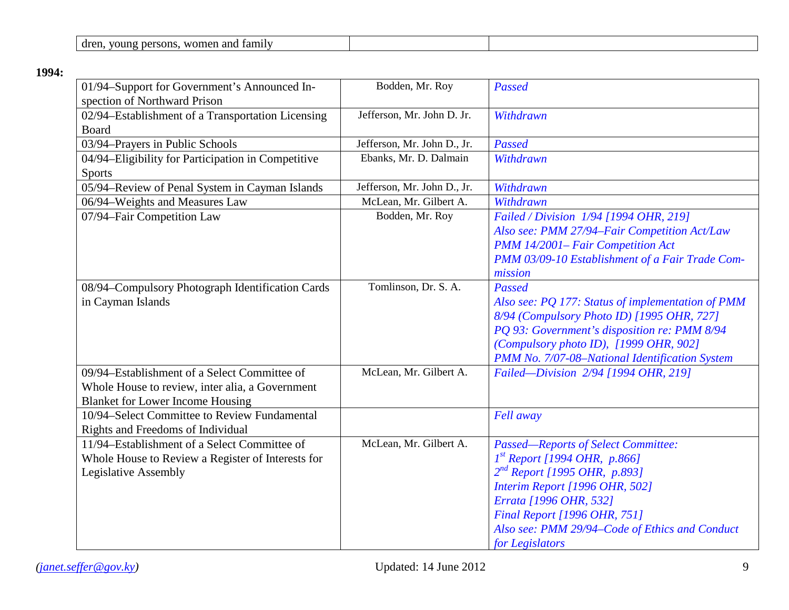| лr<br>n c<br>n<br>ан<br>m<br><br>$\cdots$ |  |  |
|-------------------------------------------|--|--|
|-------------------------------------------|--|--|

| 01/94-Support for Government's Announced In-<br>spection of Northward Prison | Bodden, Mr. Roy             | Passed                                                                         |
|------------------------------------------------------------------------------|-----------------------------|--------------------------------------------------------------------------------|
| 02/94-Establishment of a Transportation Licensing<br><b>Board</b>            | Jefferson, Mr. John D. Jr.  | Withdrawn                                                                      |
| 03/94-Prayers in Public Schools                                              | Jefferson, Mr. John D., Jr. | Passed                                                                         |
| 04/94-Eligibility for Participation in Competitive                           | Ebanks, Mr. D. Dalmain      | Withdrawn                                                                      |
| <b>Sports</b>                                                                |                             |                                                                                |
| 05/94-Review of Penal System in Cayman Islands                               | Jefferson, Mr. John D., Jr. | Withdrawn                                                                      |
| 06/94-Weights and Measures Law                                               | McLean, Mr. Gilbert A.      | Withdrawn                                                                      |
| 07/94-Fair Competition Law                                                   | Bodden, Mr. Roy             | Failed / Division 1/94 [1994 OHR, 219]                                         |
|                                                                              |                             | Also see: PMM 27/94-Fair Competition Act/Law                                   |
|                                                                              |                             | PMM 14/2001- Fair Competition Act                                              |
|                                                                              |                             | PMM 03/09-10 Establishment of a Fair Trade Com-                                |
|                                                                              |                             | mission                                                                        |
| 08/94-Compulsory Photograph Identification Cards                             | Tomlinson, Dr. S. A.        | Passed                                                                         |
| in Cayman Islands                                                            |                             | Also see: PQ 177: Status of implementation of PMM                              |
|                                                                              |                             | 8/94 (Compulsory Photo ID) [1995 OHR, 727]                                     |
|                                                                              |                             | PQ 93: Government's disposition re: PMM 8/94                                   |
|                                                                              |                             | (Compulsory photo ID), [1999 OHR, 902]                                         |
|                                                                              |                             | PMM No. 7/07-08-National Identification System                                 |
| 09/94–Establishment of a Select Committee of                                 | McLean, Mr. Gilbert A.      | Failed-Division 2/94 [1994 OHR, 219]                                           |
| Whole House to review, inter alia, a Government                              |                             |                                                                                |
| <b>Blanket for Lower Income Housing</b>                                      |                             |                                                                                |
| 10/94-Select Committee to Review Fundamental                                 |                             | Fell away                                                                      |
| Rights and Freedoms of Individual                                            |                             |                                                                                |
| 11/94-Establishment of a Select Committee of                                 | McLean, Mr. Gilbert A.      | <b>Passed-Reports of Select Committee:</b>                                     |
| Whole House to Review a Register of Interests for                            |                             | $1^{st}$ Report [1994 OHR, p.866]                                              |
| <b>Legislative Assembly</b>                                                  |                             | $2^{nd}$ Report [1995 OHR, p.893]                                              |
|                                                                              |                             | Interim Report [1996 OHR, 502]                                                 |
|                                                                              |                             | Errata [1996 OHR, 532]                                                         |
|                                                                              |                             | Final Report [1996 OHR, 751]<br>Also see: PMM 29/94-Code of Ethics and Conduct |
|                                                                              |                             |                                                                                |
|                                                                              |                             | for Legislators                                                                |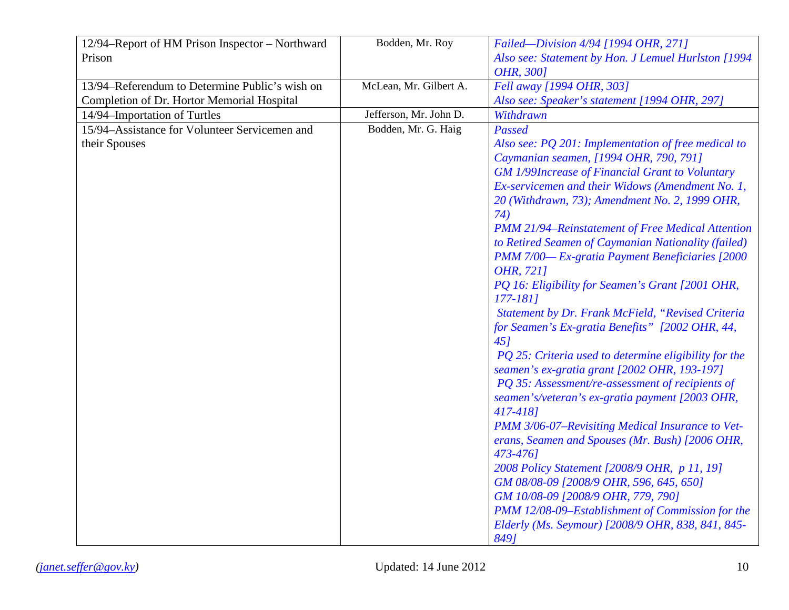| 12/94-Report of HM Prison Inspector - Northward | Bodden, Mr. Roy        | Failed-Division 4/94 [1994 OHR, 271]                     |
|-------------------------------------------------|------------------------|----------------------------------------------------------|
| Prison                                          |                        | Also see: Statement by Hon. J Lemuel Hurlston [1994      |
|                                                 |                        | OHR, 3001                                                |
| 13/94–Referendum to Determine Public's wish on  | McLean, Mr. Gilbert A. | Fell away [1994 OHR, 303]                                |
| Completion of Dr. Hortor Memorial Hospital      |                        | Also see: Speaker's statement [1994 OHR, 297]            |
| 14/94-Importation of Turtles                    | Jefferson, Mr. John D. | Withdrawn                                                |
| 15/94-Assistance for Volunteer Servicemen and   | Bodden, Mr. G. Haig    | Passed                                                   |
| their Spouses                                   |                        | Also see: PQ 201: Implementation of free medical to      |
|                                                 |                        | Caymanian seamen, [1994 OHR, 790, 791]                   |
|                                                 |                        | <b>GM 1/99Increase of Financial Grant to Voluntary</b>   |
|                                                 |                        | Ex-servicemen and their Widows (Amendment No. 1,         |
|                                                 |                        | 20 (Withdrawn, 73); Amendment No. 2, 1999 OHR,           |
|                                                 |                        | 74)                                                      |
|                                                 |                        | <b>PMM 21/94–Reinstatement of Free Medical Attention</b> |
|                                                 |                        | to Retired Seamen of Caymanian Nationality (failed)      |
|                                                 |                        | PMM 7/00-Ex-gratia Payment Beneficiaries [2000           |
|                                                 |                        | OHR, 7211                                                |
|                                                 |                        | PQ 16: Eligibility for Seamen's Grant [2001 OHR,         |
|                                                 |                        | $177 - 1811$                                             |
|                                                 |                        | Statement by Dr. Frank McField, "Revised Criteria        |
|                                                 |                        | for Seamen's Ex-gratia Benefits" [2002 OHR, 44,          |
|                                                 |                        | 451                                                      |
|                                                 |                        | PQ 25: Criteria used to determine eligibility for the    |
|                                                 |                        | seamen's ex-gratia grant [2002 OHR, 193-197]             |
|                                                 |                        | PQ 35: Assessment/re-assessment of recipients of         |
|                                                 |                        | seamen's/veteran's ex-gratia payment [2003 OHR,          |
|                                                 |                        | 417-4181                                                 |
|                                                 |                        | PMM 3/06-07–Revisiting Medical Insurance to Vet-         |
|                                                 |                        | erans, Seamen and Spouses (Mr. Bush) [2006 OHR,          |
|                                                 |                        | 473-4761                                                 |
|                                                 |                        | 2008 Policy Statement [2008/9 OHR, p 11, 19]             |
|                                                 |                        | GM 08/08-09 [2008/9 OHR, 596, 645, 650]                  |
|                                                 |                        | GM 10/08-09 [2008/9 OHR, 779, 790]                       |
|                                                 |                        | PMM 12/08-09-Establishment of Commission for the         |
|                                                 |                        | Elderly (Ms. Seymour) [2008/9 OHR, 838, 841, 845-        |
|                                                 |                        | 8491                                                     |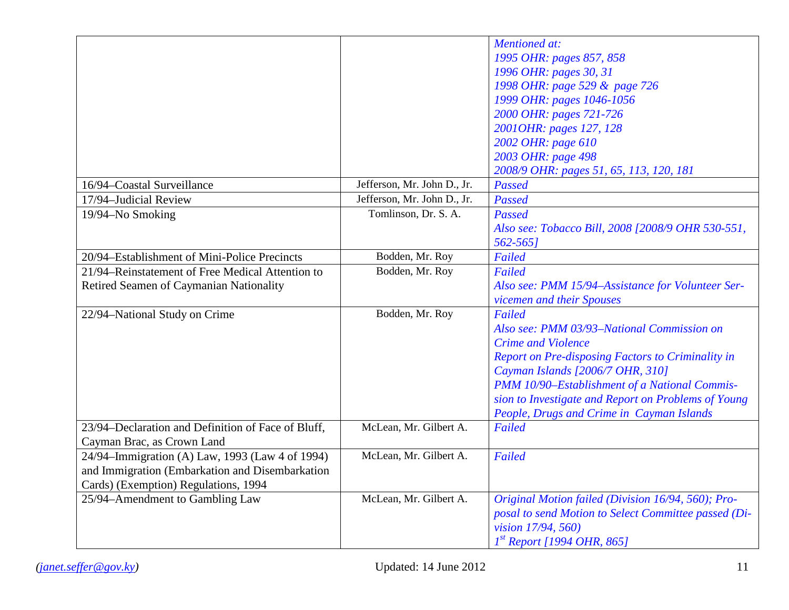|                                                    |                             | <b>Mentioned</b> at:                                 |
|----------------------------------------------------|-----------------------------|------------------------------------------------------|
|                                                    |                             | 1995 OHR: pages 857, 858                             |
|                                                    |                             | 1996 OHR: pages 30, 31                               |
|                                                    |                             | 1998 OHR: page 529 & page 726                        |
|                                                    |                             | 1999 OHR: pages 1046-1056                            |
|                                                    |                             | 2000 OHR: pages 721-726                              |
|                                                    |                             | 2001OHR: pages 127, 128                              |
|                                                    |                             | 2002 OHR: page 610                                   |
|                                                    |                             | 2003 OHR: page 498                                   |
|                                                    |                             | 2008/9 OHR: pages 51, 65, 113, 120, 181              |
| 16/94-Coastal Surveillance                         | Jefferson, Mr. John D., Jr. | Passed                                               |
| 17/94-Judicial Review                              | Jefferson, Mr. John D., Jr. | Passed                                               |
| 19/94-No Smoking                                   | Tomlinson, Dr. S. A.        | Passed                                               |
|                                                    |                             | Also see: Tobacco Bill, 2008 [2008/9 OHR 530-551,    |
|                                                    |                             | $562 - 565$                                          |
| 20/94–Establishment of Mini-Police Precincts       | Bodden, Mr. Roy             | Failed                                               |
| 21/94–Reinstatement of Free Medical Attention to   | Bodden, Mr. Roy             | Failed                                               |
| Retired Seamen of Caymanian Nationality            |                             | Also see: PMM 15/94-Assistance for Volunteer Ser-    |
|                                                    |                             | vicemen and their Spouses                            |
| 22/94-National Study on Crime                      | Bodden, Mr. Roy             | Failed                                               |
|                                                    |                             | Also see: PMM 03/93-National Commission on           |
|                                                    |                             | <b>Crime and Violence</b>                            |
|                                                    |                             | Report on Pre-disposing Factors to Criminality in    |
|                                                    |                             | Cayman Islands [2006/7 OHR, 310]                     |
|                                                    |                             | PMM 10/90-Establishment of a National Commis-        |
|                                                    |                             | sion to Investigate and Report on Problems of Young  |
|                                                    |                             | People, Drugs and Crime in Cayman Islands            |
| 23/94–Declaration and Definition of Face of Bluff, | McLean, Mr. Gilbert A.      | Failed                                               |
| Cayman Brac, as Crown Land                         |                             |                                                      |
| 24/94–Immigration (A) Law, 1993 (Law 4 of 1994)    | McLean, Mr. Gilbert A.      | Failed                                               |
| and Immigration (Embarkation and Disembarkation    |                             |                                                      |
| Cards) (Exemption) Regulations, 1994               |                             |                                                      |
| 25/94–Amendment to Gambling Law                    | McLean, Mr. Gilbert A.      | Original Motion failed (Division 16/94, 560); Pro-   |
|                                                    |                             | posal to send Motion to Select Committee passed (Di- |
|                                                    |                             | vision 17/94, 560)                                   |
|                                                    |                             | $1^{st}$ Report [1994 OHR, 865]                      |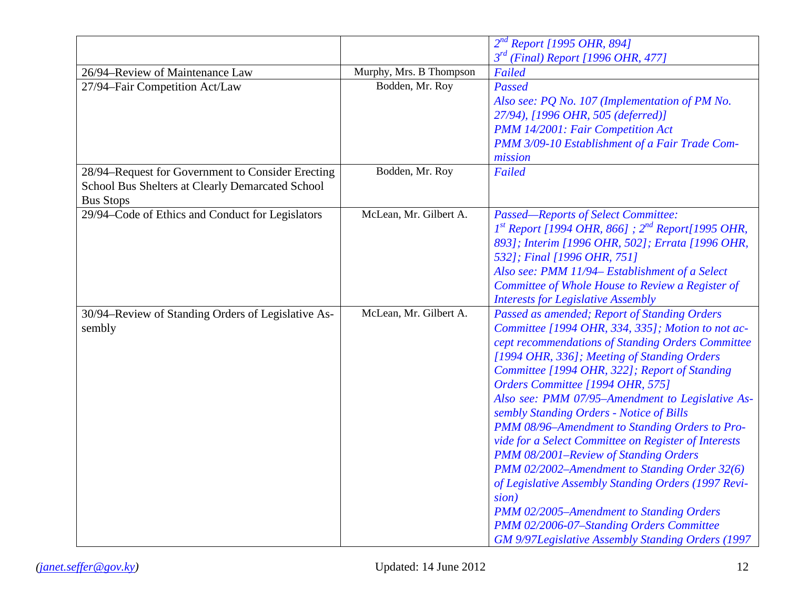|                                                    |                         | $2^{nd}$ Report [1995 OHR, 894]                             |
|----------------------------------------------------|-------------------------|-------------------------------------------------------------|
|                                                    |                         | $3rd$ (Final) Report [1996 OHR, 477]                        |
| 26/94-Review of Maintenance Law                    | Murphy, Mrs. B Thompson | Failed                                                      |
| 27/94-Fair Competition Act/Law                     | Bodden, Mr. Roy         | Passed                                                      |
|                                                    |                         | Also see: PQ No. 107 (Implementation of PM No.              |
|                                                    |                         | 27/94), [1996 OHR, 505 (deferred)]                          |
|                                                    |                         | PMM 14/2001: Fair Competition Act                           |
|                                                    |                         | PMM 3/09-10 Establishment of a Fair Trade Com-              |
|                                                    |                         | mission                                                     |
| 28/94-Request for Government to Consider Erecting  | Bodden, Mr. Roy         | Failed                                                      |
| School Bus Shelters at Clearly Demarcated School   |                         |                                                             |
| <b>Bus Stops</b>                                   |                         |                                                             |
| 29/94–Code of Ethics and Conduct for Legislators   | McLean, Mr. Gilbert A.  | <b>Passed-Reports of Select Committee:</b>                  |
|                                                    |                         | $1^{st}$ Report [1994 OHR, 866] ; $2^{nd}$ Report[1995 OHR, |
|                                                    |                         | 893]; Interim [1996 OHR, 502]; Errata [1996 OHR,            |
|                                                    |                         | 532]; Final [1996 OHR, 751]                                 |
|                                                    |                         | Also see: PMM 11/94– Establishment of a Select              |
|                                                    |                         | Committee of Whole House to Review a Register of            |
|                                                    |                         | <b>Interests for Legislative Assembly</b>                   |
| 30/94–Review of Standing Orders of Legislative As- | McLean, Mr. Gilbert A.  | Passed as amended; Report of Standing Orders                |
| sembly                                             |                         | Committee [1994 OHR, 334, 335]; Motion to not ac-           |
|                                                    |                         | cept recommendations of Standing Orders Committee           |
|                                                    |                         | [1994 OHR, 336]; Meeting of Standing Orders                 |
|                                                    |                         | Committee [1994 OHR, 322]; Report of Standing               |
|                                                    |                         | Orders Committee [1994 OHR, 575]                            |
|                                                    |                         | Also see: PMM 07/95-Amendment to Legislative As-            |
|                                                    |                         | sembly Standing Orders - Notice of Bills                    |
|                                                    |                         | PMM 08/96-Amendment to Standing Orders to Pro-              |
|                                                    |                         | vide for a Select Committee on Register of Interests        |
|                                                    |                         | PMM 08/2001-Review of Standing Orders                       |
|                                                    |                         | PMM 02/2002-Amendment to Standing Order 32(6)               |
|                                                    |                         | of Legislative Assembly Standing Orders (1997 Revi-         |
|                                                    |                         | sion)                                                       |
|                                                    |                         | PMM 02/2005-Amendment to Standing Orders                    |
|                                                    |                         | PMM 02/2006-07-Standing Orders Committee                    |
|                                                    |                         | GM 9/97Legislative Assembly Standing Orders (1997           |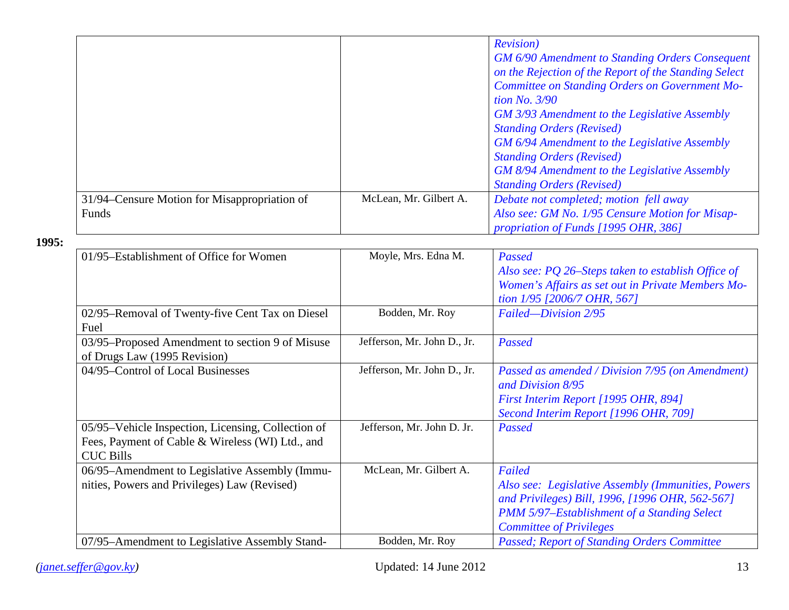|                                              |                        | <b>Revision</b> )                                      |
|----------------------------------------------|------------------------|--------------------------------------------------------|
|                                              |                        | <b>GM 6/90 Amendment to Standing Orders Consequent</b> |
|                                              |                        | on the Rejection of the Report of the Standing Select  |
|                                              |                        | Committee on Standing Orders on Government Mo-         |
|                                              |                        | tion No. $3/90$                                        |
|                                              |                        | <b>GM</b> 3/93 Amendment to the Legislative Assembly   |
|                                              |                        | <b>Standing Orders (Revised)</b>                       |
|                                              |                        | GM 6/94 Amendment to the Legislative Assembly          |
|                                              |                        | <b>Standing Orders (Revised)</b>                       |
|                                              |                        | GM 8/94 Amendment to the Legislative Assembly          |
|                                              |                        | <b>Standing Orders (Revised)</b>                       |
| 31/94–Censure Motion for Misappropriation of | McLean, Mr. Gilbert A. | Debate not completed; motion fell away                 |
| Funds                                        |                        | Also see: GM No. 1/95 Censure Motion for Misap-        |
|                                              |                        | <i>propriation of Funds [1995 OHR, 386]</i>            |

| 01/95–Establishment of Office for Women                                                                                    | Moyle, Mrs. Edna M.         | Passed<br>Also see: PQ 26–Steps taken to establish Office of<br>Women's Affairs as set out in Private Members Mo-<br>tion 1/95 [2006/7 OHR, 567]                                                        |
|----------------------------------------------------------------------------------------------------------------------------|-----------------------------|---------------------------------------------------------------------------------------------------------------------------------------------------------------------------------------------------------|
| 02/95–Removal of Twenty-five Cent Tax on Diesel<br>Fuel                                                                    | Bodden, Mr. Roy             | Failed-Division 2/95                                                                                                                                                                                    |
| 03/95–Proposed Amendment to section 9 of Misuse<br>of Drugs Law (1995 Revision)                                            | Jefferson, Mr. John D., Jr. | Passed                                                                                                                                                                                                  |
| 04/95–Control of Local Businesses                                                                                          | Jefferson, Mr. John D., Jr. | Passed as amended / Division 7/95 (on Amendment)<br>and Division 8/95<br>First Interim Report [1995 OHR, 894]<br>Second Interim Report [1996 OHR, 709]                                                  |
| 05/95–Vehicle Inspection, Licensing, Collection of<br>Fees, Payment of Cable & Wireless (WI) Ltd., and<br><b>CUC Bills</b> | Jefferson, Mr. John D. Jr.  | Passed                                                                                                                                                                                                  |
| 06/95–Amendment to Legislative Assembly (Immu-<br>nities, Powers and Privileges) Law (Revised)                             | McLean, Mr. Gilbert A.      | Failed<br>Also see: Legislative Assembly (Immunities, Powers<br>and Privileges) Bill, 1996, [1996 OHR, 562-567]<br><b>PMM 5/97-Establishment of a Standing Select</b><br><b>Committee of Privileges</b> |
| 07/95–Amendment to Legislative Assembly Stand-                                                                             | Bodden, Mr. Roy             | <b>Passed; Report of Standing Orders Committee</b>                                                                                                                                                      |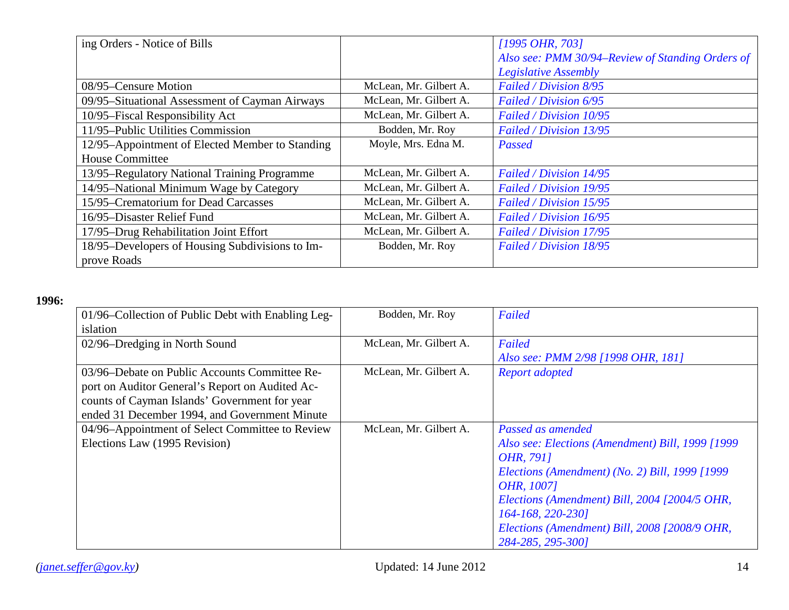| ing Orders - Notice of Bills                    |                        | $[1995 \text{ OHR}, 703]$                        |
|-------------------------------------------------|------------------------|--------------------------------------------------|
|                                                 |                        | Also see: PMM 30/94–Review of Standing Orders of |
|                                                 |                        | Legislative Assembly                             |
| 08/95–Censure Motion                            | McLean, Mr. Gilbert A. | Failed / Division 8/95                           |
| 09/95-Situational Assessment of Cayman Airways  | McLean, Mr. Gilbert A. | Failed / Division 6/95                           |
| 10/95–Fiscal Responsibility Act                 | McLean, Mr. Gilbert A. | Failed / Division 10/95                          |
| 11/95-Public Utilities Commission               | Bodden, Mr. Roy        | Failed / Division 13/95                          |
| 12/95-Appointment of Elected Member to Standing | Moyle, Mrs. Edna M.    | Passed                                           |
| <b>House Committee</b>                          |                        |                                                  |
| 13/95–Regulatory National Training Programme    | McLean, Mr. Gilbert A. | Failed / Division 14/95                          |
| 14/95-National Minimum Wage by Category         | McLean, Mr. Gilbert A. | Failed / Division 19/95                          |
| 15/95–Crematorium for Dead Carcasses            | McLean, Mr. Gilbert A. | Failed / Division 15/95                          |
| 16/95-Disaster Relief Fund                      | McLean, Mr. Gilbert A. | Failed / Division 16/95                          |
| 17/95-Drug Rehabilitation Joint Effort          | McLean, Mr. Gilbert A. | Failed / Division 17/95                          |
| 18/95–Developers of Housing Subdivisions to Im- | Bodden, Mr. Roy        | Failed / Division 18/95                          |
| prove Roads                                     |                        |                                                  |

| 01/96–Collection of Public Debt with Enabling Leg- | Bodden, Mr. Roy        | Failed                                           |
|----------------------------------------------------|------------------------|--------------------------------------------------|
| islation                                           |                        |                                                  |
| 02/96–Dredging in North Sound                      | McLean, Mr. Gilbert A. | Failed                                           |
|                                                    |                        | Also see: PMM 2/98 [1998 OHR, 181]               |
| 03/96–Debate on Public Accounts Committee Re-      | McLean, Mr. Gilbert A. | <b>Report adopted</b>                            |
| port on Auditor General's Report on Audited Ac-    |                        |                                                  |
| counts of Cayman Islands' Government for year      |                        |                                                  |
| ended 31 December 1994, and Government Minute      |                        |                                                  |
| 04/96-Appointment of Select Committee to Review    | McLean, Mr. Gilbert A. | Passed as amended                                |
| Elections Law (1995 Revision)                      |                        | Also see: Elections (Amendment) Bill, 1999 [1999 |
|                                                    |                        | OHR, 7911                                        |
|                                                    |                        | Elections (Amendment) (No. 2) Bill, 1999 [1999   |
|                                                    |                        | OHR, 1007]                                       |
|                                                    |                        | Elections (Amendment) Bill, 2004 [2004/5 OHR,    |
|                                                    |                        | 164-168, 220-2301                                |
|                                                    |                        | Elections (Amendment) Bill, 2008 [2008/9 OHR,    |
|                                                    |                        | 284-285, 295-3001                                |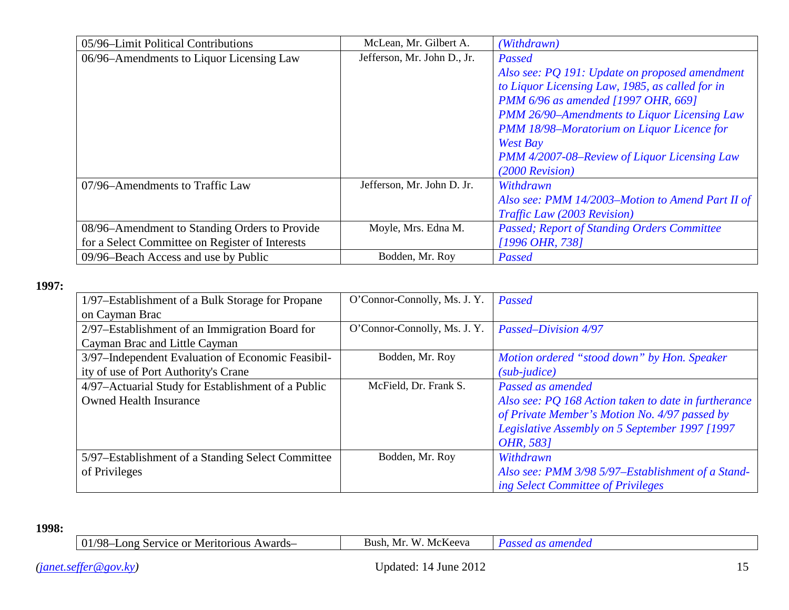| 05/96–Limit Political Contributions             | McLean, Mr. Gilbert A.      | (Withdrawn)                                        |
|-------------------------------------------------|-----------------------------|----------------------------------------------------|
| 06/96–Amendments to Liquor Licensing Law        | Jefferson, Mr. John D., Jr. | Passed                                             |
|                                                 |                             | Also see: PQ 191: Update on proposed amendment     |
|                                                 |                             | to Liquor Licensing Law, 1985, as called for in    |
|                                                 |                             | PMM 6/96 as amended [1997 OHR, 669]                |
|                                                 |                             | PMM 26/90-Amendments to Liquor Licensing Law       |
|                                                 |                             | PMM 18/98-Moratorium on Liquor Licence for         |
|                                                 |                             | West Bay                                           |
|                                                 |                             | PMM 4/2007-08–Review of Liquor Licensing Law       |
|                                                 |                             | $(2000$ Revision)                                  |
| 07/96–Amendments to Traffic Law                 | Jefferson, Mr. John D. Jr.  | Withdrawn                                          |
|                                                 |                             | Also see: PMM 14/2003–Motion to Amend Part II of   |
|                                                 |                             | Traffic Law (2003 Revision)                        |
| 08/96–Amendment to Standing Orders to Provide   | Moyle, Mrs. Edna M.         | <b>Passed; Report of Standing Orders Committee</b> |
| for a Select Committee on Register of Interests |                             | [1996 OHR, 738]                                    |
| 09/96–Beach Access and use by Public            | Bodden, Mr. Roy             | Passed                                             |

| 1/97–Establishment of a Bulk Storage for Propane   | O'Connor-Connolly, Ms. J. Y. | Passed                                               |
|----------------------------------------------------|------------------------------|------------------------------------------------------|
| on Cayman Brac                                     |                              |                                                      |
| 2/97-Establishment of an Immigration Board for     | O'Connor-Connolly, Ms. J. Y. | Passed-Division 4/97                                 |
| Cayman Brac and Little Cayman                      |                              |                                                      |
| 3/97-Independent Evaluation of Economic Feasibil-  | Bodden, Mr. Roy              | Motion ordered "stood down" by Hon. Speaker          |
| ity of use of Port Authority's Crane               |                              | $(sub$ -judice)                                      |
| 4/97-Actuarial Study for Establishment of a Public | McField, Dr. Frank S.        | Passed as amended                                    |
| <b>Owned Health Insurance</b>                      |                              | Also see: PQ 168 Action taken to date in furtherance |
|                                                    |                              | of Private Member's Motion No. 4/97 passed by        |
|                                                    |                              | Legislative Assembly on 5 September 1997 [1997       |
|                                                    |                              | OHR, 5831                                            |
| 5/97–Establishment of a Standing Select Committee  | Bodden, Mr. Roy              | Withdrawn                                            |
| of Privileges                                      |                              | Also see: PMM 3/98 5/97-Establishment of a Stand-    |
|                                                    |                              | ing Select Committee of Privileges                   |

| 78 M.<br>Nards-<br>ong<br>Meritorious<br>Service.<br>or<br>$\overline{\phantom{a}}$ | $\mathbf{A}$<br>-Bush<br>.NI r<br>Vю<br>NCCVA |  |
|-------------------------------------------------------------------------------------|-----------------------------------------------|--|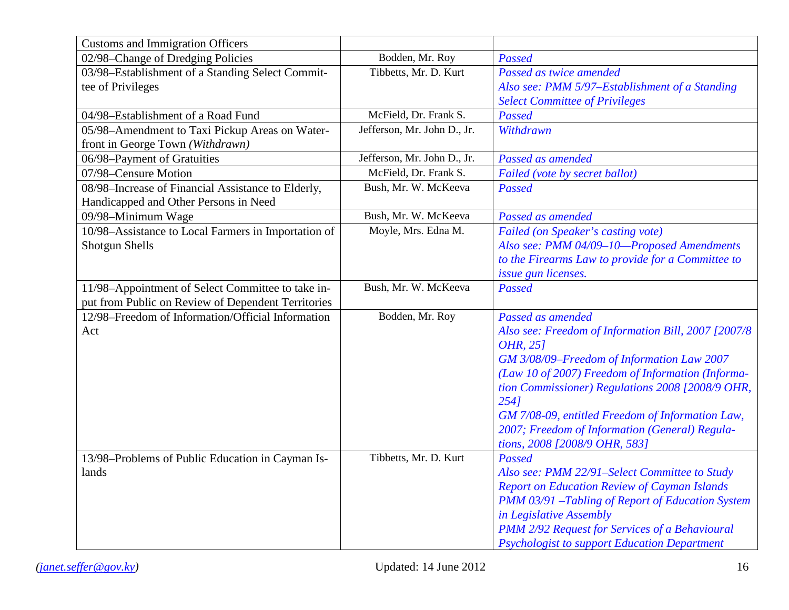| <b>Customs and Immigration Officers</b>             |                             |                                                     |
|-----------------------------------------------------|-----------------------------|-----------------------------------------------------|
| 02/98-Change of Dredging Policies                   | Bodden, Mr. Roy             | Passed                                              |
| 03/98-Establishment of a Standing Select Commit-    | Tibbetts, Mr. D. Kurt       | Passed as twice amended                             |
| tee of Privileges                                   |                             | Also see: PMM 5/97-Establishment of a Standing      |
|                                                     |                             | <b>Select Committee of Privileges</b>               |
| 04/98-Establishment of a Road Fund                  | McField, Dr. Frank S.       | Passed                                              |
| 05/98-Amendment to Taxi Pickup Areas on Water-      | Jefferson, Mr. John D., Jr. | Withdrawn                                           |
| front in George Town (Withdrawn)                    |                             |                                                     |
| 06/98-Payment of Gratuities                         | Jefferson, Mr. John D., Jr. | Passed as amended                                   |
| 07/98-Censure Motion                                | McField, Dr. Frank S.       | Failed (vote by secret ballot)                      |
| 08/98-Increase of Financial Assistance to Elderly,  | Bush, Mr. W. McKeeva        | Passed                                              |
| Handicapped and Other Persons in Need               |                             |                                                     |
| 09/98-Minimum Wage                                  | Bush, Mr. W. McKeeva        | Passed as amended                                   |
| 10/98-Assistance to Local Farmers in Importation of | Moyle, Mrs. Edna M.         | Failed (on Speaker's casting vote)                  |
| <b>Shotgun Shells</b>                               |                             | Also see: PMM 04/09-10-Proposed Amendments          |
|                                                     |                             | to the Firearms Law to provide for a Committee to   |
|                                                     |                             | issue gun licenses.                                 |
| 11/98-Appointment of Select Committee to take in-   | Bush, Mr. W. McKeeva        | <b>Passed</b>                                       |
| put from Public on Review of Dependent Territories  |                             |                                                     |
| 12/98-Freedom of Information/Official Information   | Bodden, Mr. Roy             | Passed as amended                                   |
| Act                                                 |                             | Also see: Freedom of Information Bill, 2007 [2007/8 |
|                                                     |                             | OHR, 251                                            |
|                                                     |                             | GM 3/08/09-Freedom of Information Law 2007          |
|                                                     |                             | (Law 10 of 2007) Freedom of Information (Informa-   |
|                                                     |                             | tion Commissioner) Regulations 2008 [2008/9 OHR,    |
|                                                     |                             | 2541                                                |
|                                                     |                             | GM 7/08-09, entitled Freedom of Information Law,    |
|                                                     |                             | 2007; Freedom of Information (General) Regula-      |
|                                                     |                             | tions, 2008 [2008/9 OHR, 583]                       |
| 13/98–Problems of Public Education in Cayman Is-    | Tibbetts, Mr. D. Kurt       | Passed                                              |
| lands                                               |                             | Also see: PMM 22/91-Select Committee to Study       |
|                                                     |                             | <b>Report on Education Review of Cayman Islands</b> |
|                                                     |                             | PMM 03/91 -Tabling of Report of Education System    |
|                                                     |                             | in Legislative Assembly                             |
|                                                     |                             | PMM 2/92 Request for Services of a Behavioural      |
|                                                     |                             | <b>Psychologist to support Education Department</b> |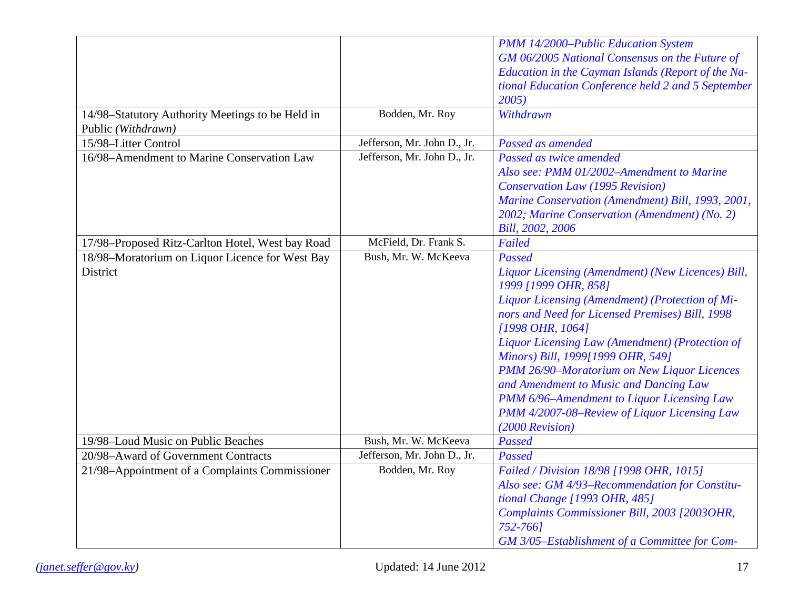|                                                  |                             | PMM 14/2000-Public Education System                |
|--------------------------------------------------|-----------------------------|----------------------------------------------------|
|                                                  |                             | GM 06/2005 National Consensus on the Future of     |
|                                                  |                             | Education in the Cayman Islands (Report of the Na- |
|                                                  |                             | tional Education Conference held 2 and 5 September |
|                                                  |                             | 2005)                                              |
| 14/98-Statutory Authority Meetings to be Held in | Bodden, Mr. Roy             | Withdrawn                                          |
| Public (Withdrawn)                               |                             |                                                    |
| 15/98-Litter Control                             | Jefferson, Mr. John D., Jr. | Passed as amended                                  |
| 16/98-Amendment to Marine Conservation Law       | Jefferson, Mr. John D., Jr. | Passed as twice amended                            |
|                                                  |                             | Also see: PMM 01/2002-Amendment to Marine          |
|                                                  |                             | <b>Conservation Law (1995 Revision)</b>            |
|                                                  |                             | Marine Conservation (Amendment) Bill, 1993, 2001,  |
|                                                  |                             | 2002; Marine Conservation (Amendment) (No. 2)      |
|                                                  |                             | Bill, 2002, 2006                                   |
| 17/98-Proposed Ritz-Carlton Hotel, West bay Road | McField, Dr. Frank S.       | Failed                                             |
| 18/98-Moratorium on Liquor Licence for West Bay  | Bush, Mr. W. McKeeva        | Passed                                             |
| District                                         |                             | Liquor Licensing (Amendment) (New Licences) Bill,  |
|                                                  |                             | 1999 [1999 OHR, 858]                               |
|                                                  |                             | Liquor Licensing (Amendment) (Protection of Mi-    |
|                                                  |                             | nors and Need for Licensed Premises) Bill, 1998    |
|                                                  |                             | [1998 OHR, 1064]                                   |
|                                                  |                             | Liquor Licensing Law (Amendment) (Protection of    |
|                                                  |                             | Minors) Bill, 1999[1999 OHR, 549]                  |
|                                                  |                             | PMM 26/90-Moratorium on New Liquor Licences        |
|                                                  |                             | and Amendment to Music and Dancing Law             |
|                                                  |                             | PMM 6/96-Amendment to Liquor Licensing Law         |
|                                                  |                             | PMM 4/2007-08-Review of Liquor Licensing Law       |
|                                                  |                             | (2000 Revision)                                    |
| 19/98-Loud Music on Public Beaches               | Bush, Mr. W. McKeeva        | Passed                                             |
| 20/98-Award of Government Contracts              | Jefferson, Mr. John D., Jr. | Passed                                             |
| 21/98-Appointment of a Complaints Commissioner   | Bodden, Mr. Roy             | Failed / Division 18/98 [1998 OHR, 1015]           |
|                                                  |                             | Also see: GM 4/93-Recommendation for Constitu-     |
|                                                  |                             | tional Change [1993 OHR, 485]                      |
|                                                  |                             | Complaints Commissioner Bill, 2003 [2003OHR,       |
|                                                  |                             | 752-7661                                           |
|                                                  |                             | GM 3/05-Establishment of a Committee for Com-      |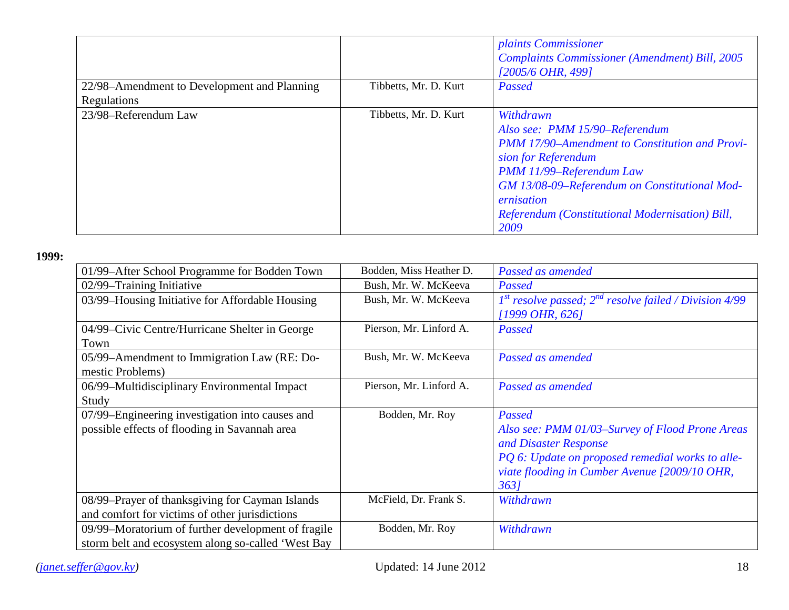|                                             |                       | <i>plaints Commissioner</i><br><b>Complaints Commissioner (Amendment) Bill, 2005</b><br>[2005/6 OHR, 499]                                                                                                                                                                  |
|---------------------------------------------|-----------------------|----------------------------------------------------------------------------------------------------------------------------------------------------------------------------------------------------------------------------------------------------------------------------|
| 22/98–Amendment to Development and Planning | Tibbetts, Mr. D. Kurt | Passed                                                                                                                                                                                                                                                                     |
| Regulations                                 |                       |                                                                                                                                                                                                                                                                            |
| 23/98-Referendum Law                        | Tibbetts, Mr. D. Kurt | Withdrawn<br>Also see: PMM 15/90-Referendum<br>PMM 17/90-Amendment to Constitution and Provi-<br>sion for Referendum<br>PMM 11/99-Referendum Law<br>GM 13/08-09-Referendum on Constitutional Mod-<br>ernisation<br>Referendum (Constitutional Modernisation) Bill,<br>2009 |

| 01/99–After School Programme for Bodden Town       | Bodden, Miss Heather D. | Passed as amended                                          |
|----------------------------------------------------|-------------------------|------------------------------------------------------------|
| 02/99-Training Initiative                          | Bush, Mr. W. McKeeva    | Passed                                                     |
| 03/99-Housing Initiative for Affordable Housing    | Bush, Mr. W. McKeeva    | $Ist$ resolve passed; $2nd$ resolve failed / Division 4/99 |
|                                                    |                         | $[1999 \text{ } OHR, 626]$                                 |
| 04/99–Civic Centre/Hurricane Shelter in George     | Pierson, Mr. Linford A. | Passed                                                     |
| Town                                               |                         |                                                            |
| 05/99-Amendment to Immigration Law (RE: Do-        | Bush, Mr. W. McKeeva    | Passed as amended                                          |
| mestic Problems)                                   |                         |                                                            |
| 06/99-Multidisciplinary Environmental Impact       | Pierson, Mr. Linford A. | Passed as amended                                          |
| Study                                              |                         |                                                            |
| 07/99–Engineering investigation into causes and    | Bodden, Mr. Roy         | Passed                                                     |
| possible effects of flooding in Savannah area      |                         | Also see: PMM 01/03-Survey of Flood Prone Areas            |
|                                                    |                         | and Disaster Response                                      |
|                                                    |                         | PQ 6: Update on proposed remedial works to alle-           |
|                                                    |                         | viate flooding in Cumber Avenue [2009/10 OHR,              |
|                                                    |                         | 3631                                                       |
| 08/99-Prayer of thanksgiving for Cayman Islands    | McField, Dr. Frank S.   | Withdrawn                                                  |
| and comfort for victims of other jurisdictions     |                         |                                                            |
| 09/99-Moratorium of further development of fragile | Bodden, Mr. Roy         | Withdrawn                                                  |
| storm belt and ecosystem along so-called 'West Bay |                         |                                                            |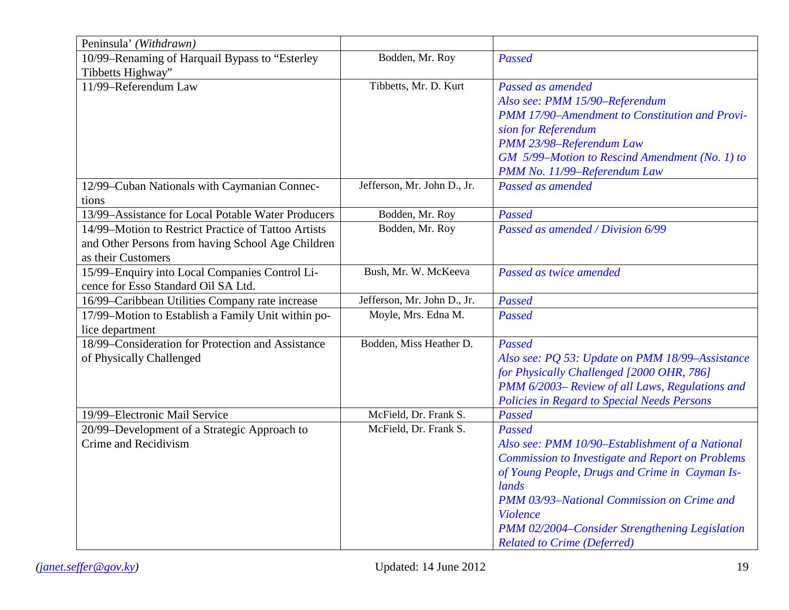| Peninsula' (Withdrawn)                              |                             |                                                         |
|-----------------------------------------------------|-----------------------------|---------------------------------------------------------|
| 10/99-Renaming of Harquail Bypass to "Esterley      | Bodden, Mr. Roy             | Passed                                                  |
| Tibbetts Highway"                                   |                             |                                                         |
| 11/99-Referendum Law                                | Tibbetts, Mr. D. Kurt       | Passed as amended                                       |
|                                                     |                             | Also see: PMM 15/90-Referendum                          |
|                                                     |                             | <b>PMM 17/90-Amendment to Constitution and Provi-</b>   |
|                                                     |                             | sion for Referendum                                     |
|                                                     |                             | PMM 23/98-Referendum Law                                |
|                                                     |                             | GM 5/99-Motion to Rescind Amendment (No. 1) to          |
|                                                     |                             | PMM No. 11/99-Referendum Law                            |
| 12/99-Cuban Nationals with Caymanian Connec-        | Jefferson, Mr. John D., Jr. | Passed as amended                                       |
| tions                                               |                             |                                                         |
| 13/99-Assistance for Local Potable Water Producers  | Bodden, Mr. Roy             | Passed                                                  |
| 14/99–Motion to Restrict Practice of Tattoo Artists | Bodden, Mr. Roy             | Passed as amended / Division 6/99                       |
| and Other Persons from having School Age Children   |                             |                                                         |
| as their Customers                                  |                             |                                                         |
| 15/99-Enquiry into Local Companies Control Li-      | Bush, Mr. W. McKeeva        | Passed as twice amended                                 |
| cence for Esso Standard Oil SA Ltd.                 |                             |                                                         |
| 16/99-Caribbean Utilities Company rate increase     | Jefferson, Mr. John D., Jr. | Passed                                                  |
| 17/99-Motion to Establish a Family Unit within po-  | Moyle, Mrs. Edna M.         | Passed                                                  |
| lice department                                     |                             |                                                         |
| 18/99–Consideration for Protection and Assistance   | Bodden, Miss Heather D.     | Passed                                                  |
| of Physically Challenged                            |                             | Also see: PQ 53: Update on PMM 18/99-Assistance         |
|                                                     |                             | for Physically Challenged [2000 OHR, 786]               |
|                                                     |                             | PMM 6/2003- Review of all Laws, Regulations and         |
|                                                     |                             | Policies in Regard to Special Needs Persons             |
| 19/99-Electronic Mail Service                       | McField, Dr. Frank S.       | Passed                                                  |
| 20/99-Development of a Strategic Approach to        | McField, Dr. Frank S.       | Passed                                                  |
| Crime and Recidivism                                |                             | Also see: PMM 10/90-Establishment of a National         |
|                                                     |                             | <b>Commission to Investigate and Report on Problems</b> |
|                                                     |                             | of Young People, Drugs and Crime in Cayman Is-          |
|                                                     |                             | lands                                                   |
|                                                     |                             | PMM 03/93-National Commission on Crime and              |
|                                                     |                             | Violence                                                |
|                                                     |                             | PMM 02/2004-Consider Strengthening Legislation          |
|                                                     |                             | <b>Related to Crime (Deferred)</b>                      |